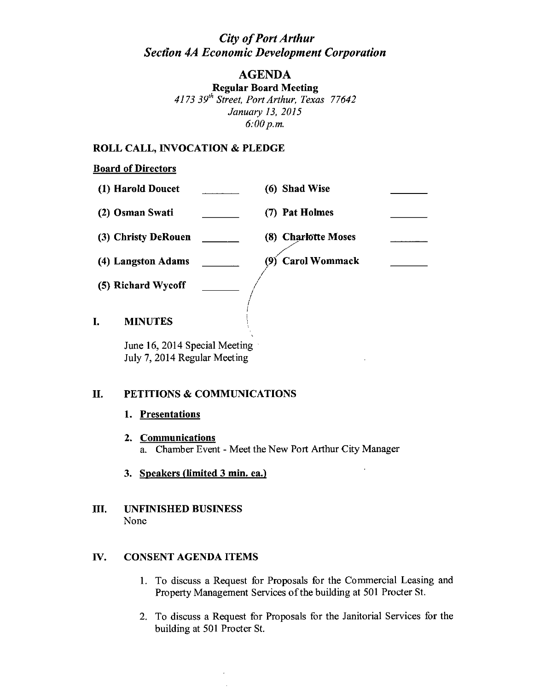# *City of Port Arthur Section 4A Economic Development Corporation*

## AGENDA

Regular Board Meeting *4173 39th Street, Port Arthur, Texas 77642 January* 13, *2015 6:00p.m.*

### ROLL CALL, INVOCATION & PLEDGE

### Board of Directors

| (1) Harold Doucet    | (6) Shad Wise               |  |
|----------------------|-----------------------------|--|
| (2) Osman Swati      | (7) Pat Holmes              |  |
| (3) Christy DeRouen  | (8) Charlotte Moses         |  |
| (4) Langston Adams   | <b>Carol Wommack</b><br>(9) |  |
| (5) Richard Wycoff   |                             |  |
| I.<br><b>MINUTES</b> |                             |  |

June 16, 2014 Special Meeting July 7, 2014 Regular Meeting

### II. PETITIONS & COMMUNICATIONS

### 1. Presentations

- 2. Communications a. Chamber Event - Meet the New Port Arthur City Manager
- 3. Speakers (limited 3 min. ea.)
- III. UNFINISHED BUSINESS None

### IV. CONSENT AGENDA ITEMS

- l. To discuss a Request for Proposals for the Commercial Leasing and Property Management Services of the building at 501 Procter St.
- 2. To discuss a Request for Proposals for the Janitorial Services for the building at 501 Procter St.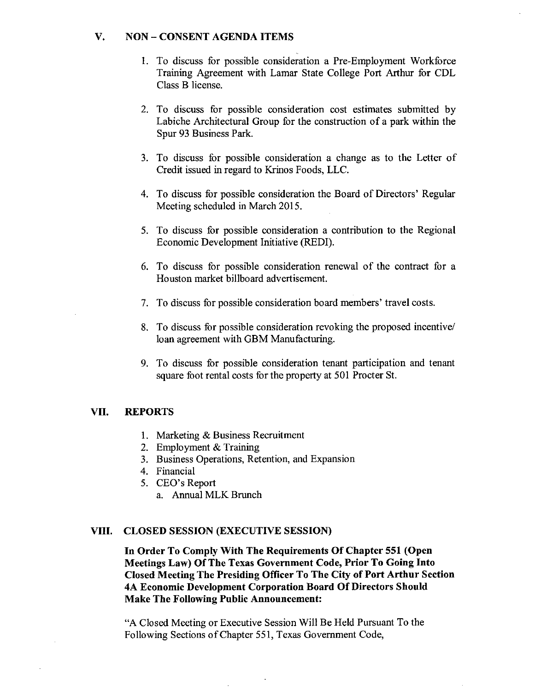### V. NON - CONSENT AGENDA ITEMS

- 1. To discuss for possible consideration a Pre-Employment Workforce Training Agreement with Lamar State College Port Arthur for CDL Class B license.
- 2. To discuss for possible consideration cost estimates submitted by Labiche Architectural Group for the construction of a park within the Spur 93 Business Park.
- 3. To discuss for possible consideration a change as to the Letter of Credit issued in regard to Krinos Foods, LLC.
- 4. To discuss for possible consideration the Board of Directors' Regular Meeting scheduled in March 2015.
- 5. To discuss for possible consideration a contribution to the Regional Economic Development Initiative (REDI).
- 6. To discuss for possible consideration renewal of the contract for a Houston market billboard advertisement.
- 7. To discuss for possible consideration board members' travel costs.
- 8. To discuss for possible consideration revoking the proposed incentive/ loan agreement with GBM Manufacturing.
- 9. To discuss for possible consideration tenant participation and tenant square foot rental costs for the property at 501 Procter St.

#### VII. REPORTS

- 1. Marketing & Business Recruitment
- 2. Employment & Training
- 3. Business Operations, Retention, and Expansion
- 4. Financial
- 5. CEO's Report
	- a. Annual MLK Brunch

#### VIII. CLOSED SESSION (EXECUTIVE SESSION)

In Order To Comply With The Requirements Of Chapter 551 (Open Meetings Law) Of The Texas Government Code, Prior To Going Into Closed Meeting The Presiding Officer To The City of Port Arthur Section 4A Economic Development Corporation Board Of Directors Should Make The Following Public Announcement:

"A Closed Meeting or Executive Session Will Be Held Pursuant To the Following Sections of Chapter 551, Texas Government Code,